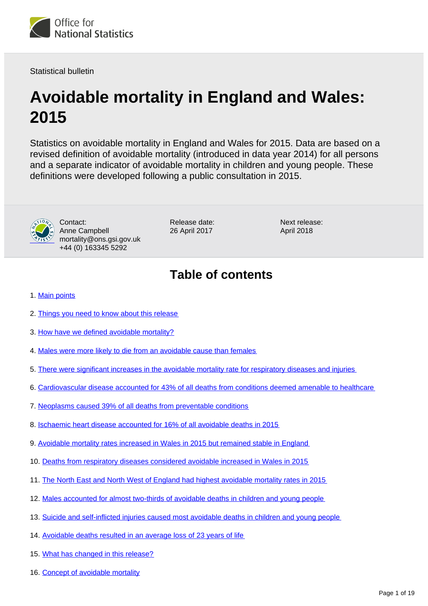

Statistical bulletin

# **Avoidable mortality in England and Wales: 2015**

Statistics on avoidable mortality in England and Wales for 2015. Data are based on a revised definition of avoidable mortality (introduced in data year 2014) for all persons and a separate indicator of avoidable mortality in children and young people. These definitions were developed following a public consultation in 2015.



Contact: Anne Campbell mortality@ons.gsi.gov.uk +44 (0) 163345 5292

Release date: 26 April 2017

Next release: April 2018

# **Table of contents**

- 1. [Main points](#page-2-0)
- 2. [Things you need to know about this release](#page-2-1)
- 3. [How have we defined avoidable mortality?](#page-3-0)
- 4. [Males were more likely to die from an avoidable cause than females](#page-3-1)
- 5. [There were significant increases in the avoidable mortality rate for respiratory diseases and injuries](#page-5-0)
- 6. [Cardiovascular disease accounted for 43% of all deaths from conditions deemed amenable to healthcare](#page-7-0)
- 7. [Neoplasms caused 39% of all deaths from preventable conditions](#page-7-1)
- 8. [Ischaemic heart disease accounted for 16% of all avoidable deaths in 2015](#page-7-2)
- 9. [Avoidable mortality rates increased in Wales in 2015 but remained stable in England](#page-10-0)
- 10. [Deaths from respiratory diseases considered avoidable increased in Wales in 2015](#page-10-1)
- 11. [The North East and North West of England had highest avoidable mortality rates in 2015](#page-12-0)
- 12. [Males accounted for almost two-thirds of avoidable deaths in children and young people](#page-13-0)
- 13. [Suicide and self-inflicted injuries caused most avoidable deaths in children and young people](#page-13-1)
- 14. [Avoidable deaths resulted in an average loss of 23 years of life](#page-15-0)
- 15. [What has changed in this release?](#page-15-1)
- 16. [Concept of avoidable mortality](#page-16-0)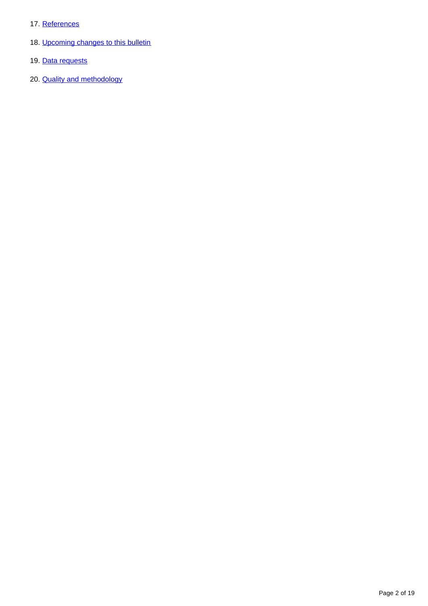- 17. [References](#page-16-1)
- 18. [Upcoming changes to this bulletin](#page-17-0)
- 19. [Data requests](#page-17-1)
- 20. **[Quality and methodology](#page-17-2)**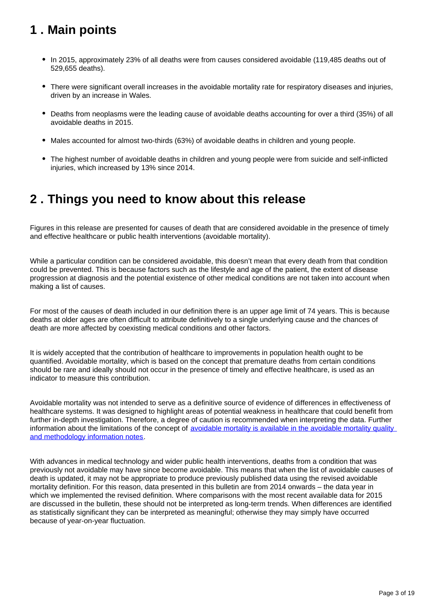# <span id="page-2-0"></span>**1 . Main points**

- In 2015, approximately 23% of all deaths were from causes considered avoidable (119,485 deaths out of 529,655 deaths).
- There were significant overall increases in the avoidable mortality rate for respiratory diseases and injuries, driven by an increase in Wales.
- Deaths from neoplasms were the leading cause of avoidable deaths accounting for over a third (35%) of all avoidable deaths in 2015.
- Males accounted for almost two-thirds (63%) of avoidable deaths in children and young people.
- The highest number of avoidable deaths in children and young people were from suicide and self-inflicted injuries, which increased by 13% since 2014.

# <span id="page-2-1"></span>**2 . Things you need to know about this release**

Figures in this release are presented for causes of death that are considered avoidable in the presence of timely and effective healthcare or public health interventions (avoidable mortality).

While a particular condition can be considered avoidable, this doesn't mean that every death from that condition could be prevented. This is because factors such as the lifestyle and age of the patient, the extent of disease progression at diagnosis and the potential existence of other medical conditions are not taken into account when making a list of causes.

For most of the causes of death included in our definition there is an upper age limit of 74 years. This is because deaths at older ages are often difficult to attribute definitively to a single underlying cause and the chances of death are more affected by coexisting medical conditions and other factors.

It is widely accepted that the contribution of healthcare to improvements in population health ought to be quantified. Avoidable mortality, which is based on the concept that premature deaths from certain conditions should be rare and ideally should not occur in the presence of timely and effective healthcare, is used as an indicator to measure this contribution.

Avoidable mortality was not intended to serve as a definitive source of evidence of differences in effectiveness of healthcare systems. It was designed to highlight areas of potential weakness in healthcare that could benefit from further in-depth investigation. Therefore, a degree of caution is recommended when interpreting the data. Further information about the limitations of the concept of avoidable mortality is available in the avoidable mortality quality [and methodology information notes.](https://www.ons.gov.uk/peoplepopulationandcommunity/healthandsocialcare/causesofdeath/qmis/avoidablemortalityinenglandandwalesqmi)

With advances in medical technology and wider public health interventions, deaths from a condition that was previously not avoidable may have since become avoidable. This means that when the list of avoidable causes of death is updated, it may not be appropriate to produce previously published data using the revised avoidable mortality definition. For this reason, data presented in this bulletin are from 2014 onwards – the data year in which we implemented the revised definition. Where comparisons with the most recent available data for 2015 are discussed in the bulletin, these should not be interpreted as long-term trends. When differences are identified as statistically significant they can be interpreted as meaningful; otherwise they may simply have occurred because of year-on-year fluctuation.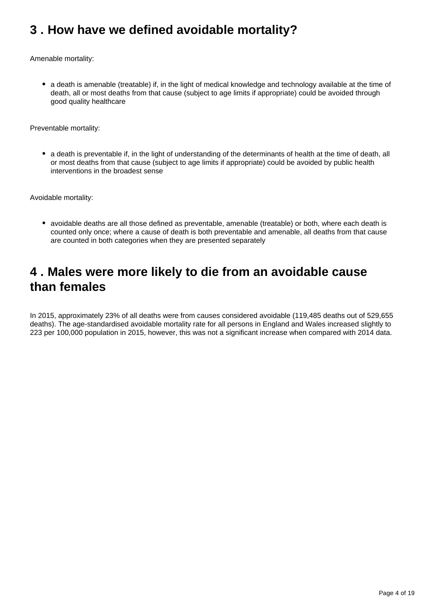# <span id="page-3-0"></span>**3 . How have we defined avoidable mortality?**

Amenable mortality:

• a death is amenable (treatable) if, in the light of medical knowledge and technology available at the time of death, all or most deaths from that cause (subject to age limits if appropriate) could be avoided through good quality healthcare

Preventable mortality:

• a death is preventable if, in the light of understanding of the determinants of health at the time of death, all or most deaths from that cause (subject to age limits if appropriate) could be avoided by public health interventions in the broadest sense

Avoidable mortality:

• avoidable deaths are all those defined as preventable, amenable (treatable) or both, where each death is counted only once; where a cause of death is both preventable and amenable, all deaths from that cause are counted in both categories when they are presented separately

### <span id="page-3-1"></span>**4 . Males were more likely to die from an avoidable cause than females**

In 2015, approximately 23% of all deaths were from causes considered avoidable (119,485 deaths out of 529,655 deaths). The age-standardised avoidable mortality rate for all persons in England and Wales increased slightly to 223 per 100,000 population in 2015, however, this was not a significant increase when compared with 2014 data.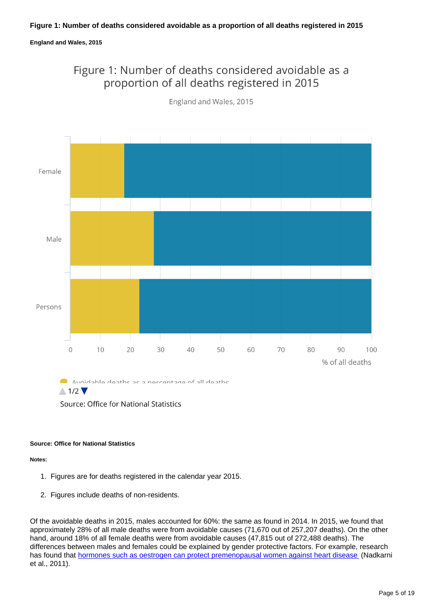### **England and Wales, 2015**

### Figure 1: Number of deaths considered avoidable as a proportion of all deaths registered in 2015



England and Wales, 2015

Avoidable deathe ar a nerrentane of all deathe  $\wedge$  1/2

Source: Office for National Statistics

#### **Source: Office for National Statistics**

**Notes:**

- 1. Figures are for deaths registered in the calendar year 2015.
- 2. Figures include deaths of non-residents.

Of the avoidable deaths in 2015, males accounted for 60%: the same as found in 2014. In 2015, we found that approximately 28% of all male deaths were from avoidable causes (71,670 out of 257,207 deaths). On the other hand, around 18% of all female deaths were from avoidable causes (47,815 out of 272,488 deaths). The differences between males and females could be explained by gender protective factors. For example, research has found that [hormones such as oestrogen can protect premenopausal women against heart disease](http://atvb.ahajournals.org/content/31/11/2749) (Nadkarni et al., 2011).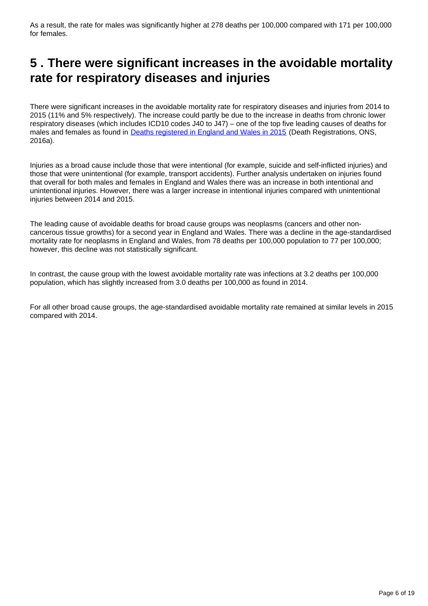As a result, the rate for males was significantly higher at 278 deaths per 100,000 compared with 171 per 100,000 for females.

# <span id="page-5-0"></span>**5 . There were significant increases in the avoidable mortality rate for respiratory diseases and injuries**

There were significant increases in the avoidable mortality rate for respiratory diseases and injuries from 2014 to 2015 (11% and 5% respectively). The increase could partly be due to the increase in deaths from chronic lower respiratory diseases (which includes ICD10 codes J40 to J47) – one of the top five leading causes of deaths for males and females as found in [Deaths registered in England and Wales in 2015](https://www.ons.gov.uk/peoplepopulationandcommunity/birthsdeathsandmarriages/deaths/bulletins/deathsregistrationsummarytables/2015) (Death Registrations, ONS, 2016a).

Injuries as a broad cause include those that were intentional (for example, suicide and self-inflicted injuries) and those that were unintentional (for example, transport accidents). Further analysis undertaken on injuries found that overall for both males and females in England and Wales there was an increase in both intentional and unintentional injuries. However, there was a larger increase in intentional injuries compared with unintentional injuries between 2014 and 2015.

The leading cause of avoidable deaths for broad cause groups was neoplasms (cancers and other noncancerous tissue growths) for a second year in England and Wales. There was a decline in the age-standardised mortality rate for neoplasms in England and Wales, from 78 deaths per 100,000 population to 77 per 100,000; however, this decline was not statistically significant.

In contrast, the cause group with the lowest avoidable mortality rate was infections at 3.2 deaths per 100,000 population, which has slightly increased from 3.0 deaths per 100,000 as found in 2014.

For all other broad cause groups, the age-standardised avoidable mortality rate remained at similar levels in 2015 compared with 2014.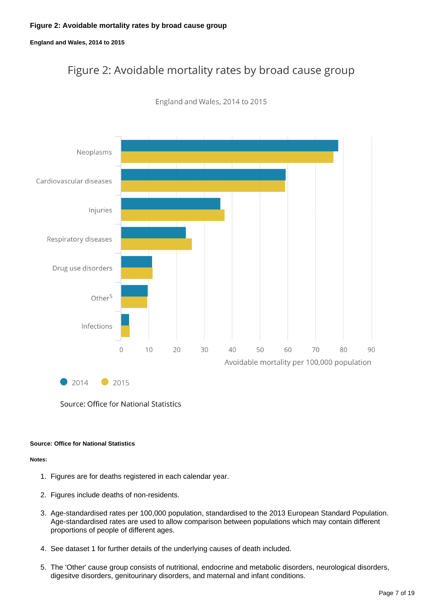**England and Wales, 2014 to 2015**

# Figure 2: Avoidable mortality rates by broad cause group



England and Wales, 2014 to 2015

 $2014$ 2015

#### **Source: Office for National Statistics**

- 1. Figures are for deaths registered in each calendar year.
- 2. Figures include deaths of non-residents.
- 3. Age-standardised rates per 100,000 population, standardised to the 2013 European Standard Population. Age-standardised rates are used to allow comparison between populations which may contain different proportions of people of different ages.
- 4. See dataset 1 for further details of the underlying causes of death included.
- 5. The 'Other' cause group consists of nutritional, endocrine and metabolic disorders, neurological disorders, digesitve disorders, genitourinary disorders, and maternal and infant conditions.

Source: Office for National Statistics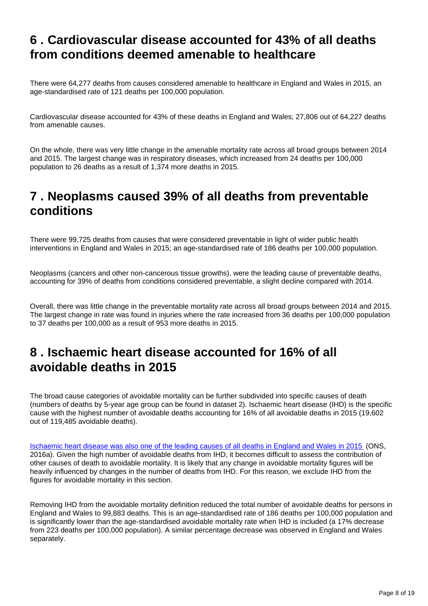# <span id="page-7-0"></span>**6 . Cardiovascular disease accounted for 43% of all deaths from conditions deemed amenable to healthcare**

There were 64,277 deaths from causes considered amenable to healthcare in England and Wales in 2015, an age-standardised rate of 121 deaths per 100,000 population.

Cardiovascular disease accounted for 43% of these deaths in England and Wales; 27,806 out of 64,227 deaths from amenable causes.

On the whole, there was very little change in the amenable mortality rate across all broad groups between 2014 and 2015. The largest change was in respiratory diseases, which increased from 24 deaths per 100,000 population to 26 deaths as a result of 1,374 more deaths in 2015.

# <span id="page-7-1"></span>**7 . Neoplasms caused 39% of all deaths from preventable conditions**

There were 99,725 deaths from causes that were considered preventable in light of wider public health interventions in England and Wales in 2015; an age-standardised rate of 186 deaths per 100,000 population.

Neoplasms (cancers and other non-cancerous tissue growths), were the leading cause of preventable deaths, accounting for 39% of deaths from conditions considered preventable, a slight decline compared with 2014.

Overall, there was little change in the preventable mortality rate across all broad groups between 2014 and 2015. The largest change in rate was found in injuries where the rate increased from 36 deaths per 100,000 population to 37 deaths per 100,000 as a result of 953 more deaths in 2015.

# <span id="page-7-2"></span>**8 . Ischaemic heart disease accounted for 16% of all avoidable deaths in 2015**

The broad cause categories of avoidable mortality can be further subdivided into specific causes of death (numbers of deaths by 5-year age group can be found in dataset 2). Ischaemic heart disease (IHD) is the specific cause with the highest number of avoidable deaths accounting for 16% of all avoidable deaths in 2015 (19,602 out of 119,485 avoidable deaths).

[Ischaemic heart disease was also one of the leading causes of all deaths in England and Wales in 2015](https://www.ons.gov.uk/peoplepopulationandcommunity/birthsdeathsandmarriages/deaths/bulletins/deathsregistrationsummarytables/2015) (ONS, 2016a). Given the high number of avoidable deaths from IHD, it becomes difficult to assess the contribution of other causes of death to avoidable mortality. It is likely that any change in avoidable mortality figures will be heavily influenced by changes in the number of deaths from IHD. For this reason, we exclude IHD from the figures for avoidable mortality in this section.

Removing IHD from the avoidable mortality definition reduced the total number of avoidable deaths for persons in England and Wales to 99,883 deaths. This is an age-standardised rate of 186 deaths per 100,000 population and is significantly lower than the age-standardised avoidable mortality rate when IHD is included (a 17% decrease from 223 deaths per 100,000 population). A similar percentage decrease was observed in England and Wales separately.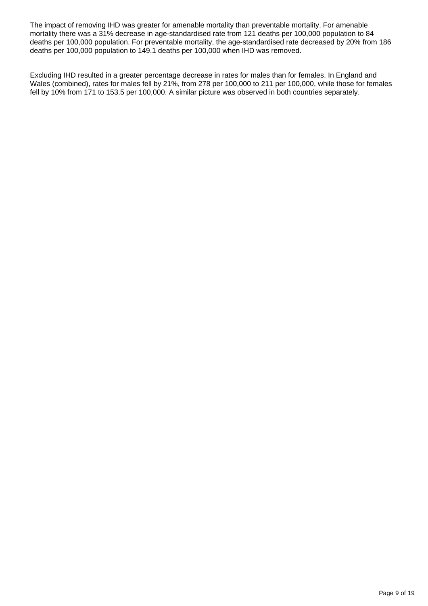The impact of removing IHD was greater for amenable mortality than preventable mortality. For amenable mortality there was a 31% decrease in age-standardised rate from 121 deaths per 100,000 population to 84 deaths per 100,000 population. For preventable mortality, the age-standardised rate decreased by 20% from 186 deaths per 100,000 population to 149.1 deaths per 100,000 when IHD was removed.

Excluding IHD resulted in a greater percentage decrease in rates for males than for females. In England and Wales (combined), rates for males fell by 21%, from 278 per 100,000 to 211 per 100,000, while those for females fell by 10% from 171 to 153.5 per 100,000. A similar picture was observed in both countries separately.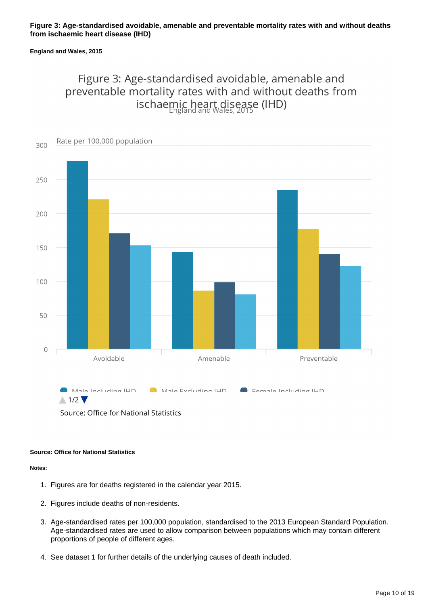### **Figure 3: Age-standardised avoidable, amenable and preventable mortality rates with and without deaths from ischaemic heart disease (IHD)**

#### **England and Wales, 2015**

### Figure 3: Age-standardised avoidable, amenable and preventable mortality rates with and without deaths from ischaemic heart disease (IHD)



Source: Office for National Statistics

#### **Source: Office for National Statistics**

- 1. Figures are for deaths registered in the calendar year 2015.
- 2. Figures include deaths of non-residents.
- 3. Age-standardised rates per 100,000 population, standardised to the 2013 European Standard Population. Age-standardised rates are used to allow comparison between populations which may contain different proportions of people of different ages.
- 4. See dataset 1 for further details of the underlying causes of death included.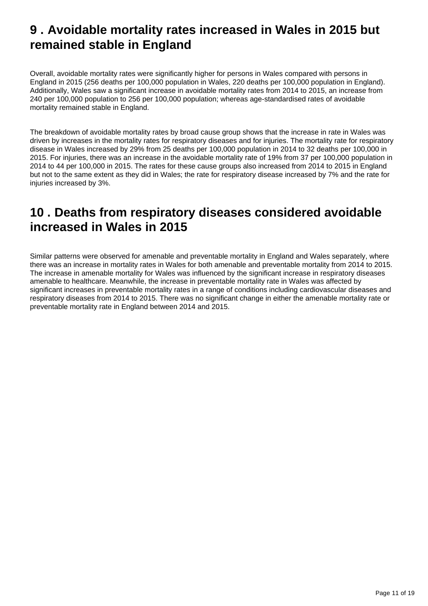# <span id="page-10-0"></span>**9 . Avoidable mortality rates increased in Wales in 2015 but remained stable in England**

Overall, avoidable mortality rates were significantly higher for persons in Wales compared with persons in England in 2015 (256 deaths per 100,000 population in Wales, 220 deaths per 100,000 population in England). Additionally, Wales saw a significant increase in avoidable mortality rates from 2014 to 2015, an increase from 240 per 100,000 population to 256 per 100,000 population; whereas age-standardised rates of avoidable mortality remained stable in England.

The breakdown of avoidable mortality rates by broad cause group shows that the increase in rate in Wales was driven by increases in the mortality rates for respiratory diseases and for injuries. The mortality rate for respiratory disease in Wales increased by 29% from 25 deaths per 100,000 population in 2014 to 32 deaths per 100,000 in 2015. For injuries, there was an increase in the avoidable mortality rate of 19% from 37 per 100,000 population in 2014 to 44 per 100,000 in 2015. The rates for these cause groups also increased from 2014 to 2015 in England but not to the same extent as they did in Wales; the rate for respiratory disease increased by 7% and the rate for injuries increased by 3%.

# <span id="page-10-1"></span>**10 . Deaths from respiratory diseases considered avoidable increased in Wales in 2015**

Similar patterns were observed for amenable and preventable mortality in England and Wales separately, where there was an increase in mortality rates in Wales for both amenable and preventable mortality from 2014 to 2015. The increase in amenable mortality for Wales was influenced by the significant increase in respiratory diseases amenable to healthcare. Meanwhile, the increase in preventable mortality rate in Wales was affected by significant increases in preventable mortality rates in a range of conditions including cardiovascular diseases and respiratory diseases from 2014 to 2015. There was no significant change in either the amenable mortality rate or preventable mortality rate in England between 2014 and 2015.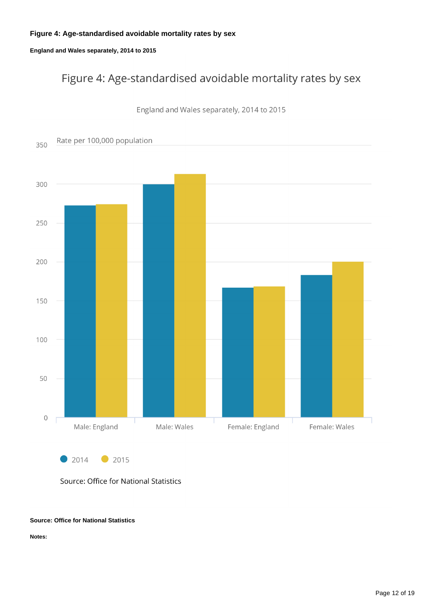### **Figure 4: Age-standardised avoidable mortality rates by sex**

### **England and Wales separately, 2014 to 2015**

# Figure 4: Age-standardised avoidable mortality rates by sex



England and Wales separately, 2014 to 2015

Source: Office for National Statistics

#### **Source: Office for National Statistics**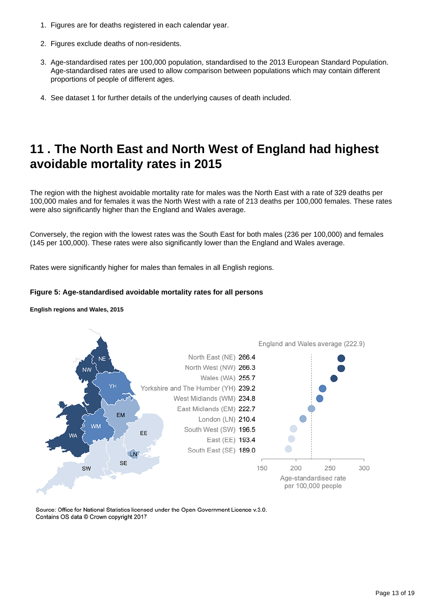- 1. Figures are for deaths registered in each calendar year.
- 2. Figures exclude deaths of non-residents.
- 3. Age-standardised rates per 100,000 population, standardised to the 2013 European Standard Population. Age-standardised rates are used to allow comparison between populations which may contain different proportions of people of different ages.
- 4. See dataset 1 for further details of the underlying causes of death included.

# <span id="page-12-0"></span>**11 . The North East and North West of England had highest avoidable mortality rates in 2015**

The region with the highest avoidable mortality rate for males was the North East with a rate of 329 deaths per 100,000 males and for females it was the North West with a rate of 213 deaths per 100,000 females. These rates were also significantly higher than the England and Wales average.

Conversely, the region with the lowest rates was the South East for both males (236 per 100,000) and females (145 per 100,000). These rates were also significantly lower than the England and Wales average.

Rates were significantly higher for males than females in all English regions.

### **Figure 5: Age-standardised avoidable mortality rates for all persons**

**English regions and Wales, 2015**



Source: Office for National Statistics licensed under the Open Government Licence v.3.0. Contains OS data @ Crown copyright 2017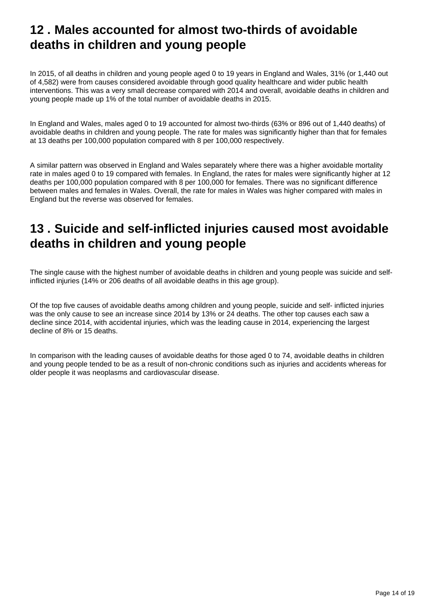# <span id="page-13-0"></span>**12 . Males accounted for almost two-thirds of avoidable deaths in children and young people**

In 2015, of all deaths in children and young people aged 0 to 19 years in England and Wales, 31% (or 1,440 out of 4,582) were from causes considered avoidable through good quality healthcare and wider public health interventions. This was a very small decrease compared with 2014 and overall, avoidable deaths in children and young people made up 1% of the total number of avoidable deaths in 2015.

In England and Wales, males aged 0 to 19 accounted for almost two-thirds (63% or 896 out of 1,440 deaths) of avoidable deaths in children and young people. The rate for males was significantly higher than that for females at 13 deaths per 100,000 population compared with 8 per 100,000 respectively.

A similar pattern was observed in England and Wales separately where there was a higher avoidable mortality rate in males aged 0 to 19 compared with females. In England, the rates for males were significantly higher at 12 deaths per 100,000 population compared with 8 per 100,000 for females. There was no significant difference between males and females in Wales. Overall, the rate for males in Wales was higher compared with males in England but the reverse was observed for females.

# <span id="page-13-1"></span>**13 . Suicide and self-inflicted injuries caused most avoidable deaths in children and young people**

The single cause with the highest number of avoidable deaths in children and young people was suicide and selfinflicted injuries (14% or 206 deaths of all avoidable deaths in this age group).

Of the top five causes of avoidable deaths among children and young people, suicide and self- inflicted injuries was the only cause to see an increase since 2014 by 13% or 24 deaths. The other top causes each saw a decline since 2014, with accidental injuries, which was the leading cause in 2014, experiencing the largest decline of 8% or 15 deaths.

In comparison with the leading causes of avoidable deaths for those aged 0 to 74, avoidable deaths in children and young people tended to be as a result of non-chronic conditions such as injuries and accidents whereas for older people it was neoplasms and cardiovascular disease.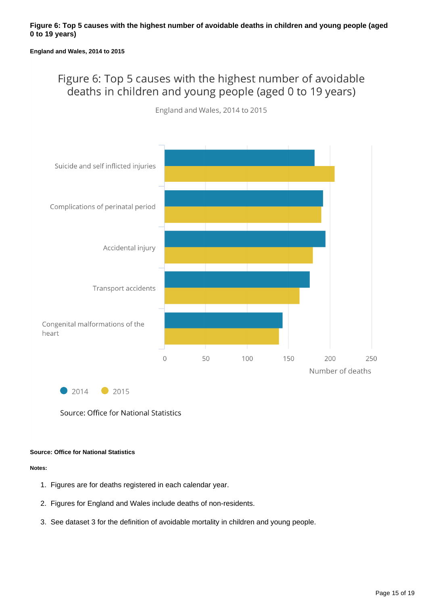#### **England and Wales, 2014 to 2015**

### Figure 6: Top 5 causes with the highest number of avoidable deaths in children and young people (aged 0 to 19 years)



England and Wales, 2014 to 2015

 $2014$ 2015

Source: Office for National Statistics

### **Source: Office for National Statistics**

- 1. Figures are for deaths registered in each calendar year.
- 2. Figures for England and Wales include deaths of non-residents.
- 3. See dataset 3 for the definition of avoidable mortality in children and young people.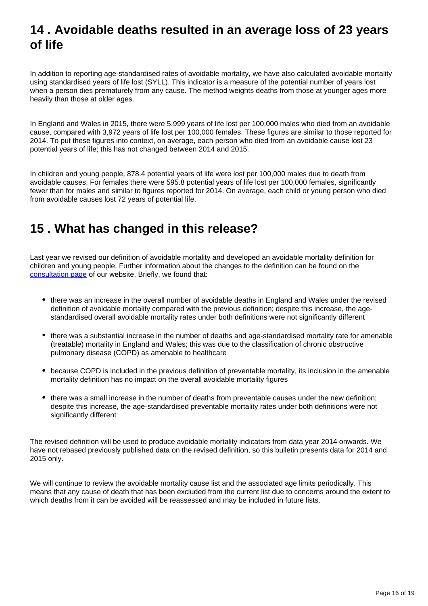# <span id="page-15-0"></span>**14 . Avoidable deaths resulted in an average loss of 23 years of life**

In addition to reporting age-standardised rates of avoidable mortality, we have also calculated avoidable mortality using standardised years of life lost (SYLL). This indicator is a measure of the potential number of years lost when a person dies prematurely from any cause. The method weights deaths from those at younger ages more heavily than those at older ages.

In England and Wales in 2015, there were 5,999 years of life lost per 100,000 males who died from an avoidable cause, compared with 3,972 years of life lost per 100,000 females. These figures are similar to those reported for 2014. To put these figures into context, on average, each person who died from an avoidable cause lost 23 potential years of life; this has not changed between 2014 and 2015.

In children and young people, 878.4 potential years of life were lost per 100,000 males due to death from avoidable causes. For females there were 595.8 potential years of life lost per 100,000 females, significantly fewer than for males and similar to figures reported for 2014. On average, each child or young person who died from avoidable causes lost 72 years of potential life.

# <span id="page-15-1"></span>**15 . What has changed in this release?**

Last year we revised our definition of avoidable mortality and developed an avoidable mortality definition for children and young people. Further information about the changes to the definition can be found on the [consultation page](https://www.ons.gov.uk/aboutus/whatwedo/statistics/consultationsandsurveys/allconsultationsandsurveys/reviewofavoidablemortalitydefinition) of our website. Briefly, we found that:

- there was an increase in the overall number of avoidable deaths in England and Wales under the revised definition of avoidable mortality compared with the previous definition; despite this increase, the agestandardised overall avoidable mortality rates under both definitions were not significantly different
- there was a substantial increase in the number of deaths and age-standardised mortality rate for amenable (treatable) mortality in England and Wales; this was due to the classification of chronic obstructive pulmonary disease (COPD) as amenable to healthcare
- because COPD is included in the previous definition of preventable mortality, its inclusion in the amenable mortality definition has no impact on the overall avoidable mortality figures
- there was a small increase in the number of deaths from preventable causes under the new definition; despite this increase, the age-standardised preventable mortality rates under both definitions were not significantly different

The revised definition will be used to produce avoidable mortality indicators from data year 2014 onwards. We have not rebased previously published data on the revised definition, so this bulletin presents data for 2014 and 2015 only.

We will continue to review the avoidable mortality cause list and the associated age limits periodically. This means that any cause of death that has been excluded from the current list due to concerns around the extent to which deaths from it can be avoided will be reassessed and may be included in future lists.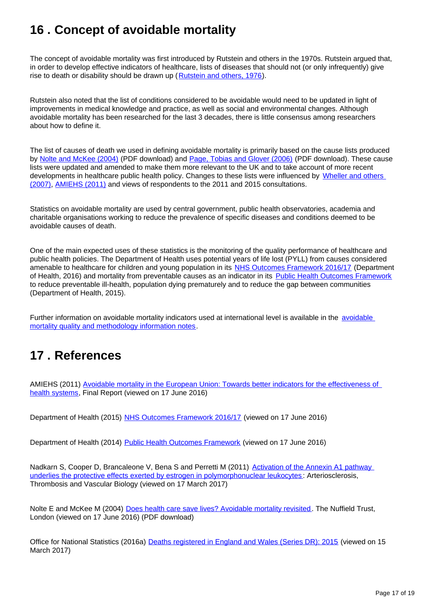# <span id="page-16-0"></span>**16 . Concept of avoidable mortality**

The concept of avoidable mortality was first introduced by Rutstein and others in the 1970s. Rutstein argued that, in order to develop effective indicators of healthcare, lists of diseases that should not (or only infrequently) give rise to death or disability should be drawn up ([Rutstein and others, 1976\)](http://www.nejm.org/doi/full/10.1056/nejm197603112941104).

Rutstein also noted that the list of conditions considered to be avoidable would need to be updated in light of improvements in medical knowledge and practice, as well as social and environmental changes. Although avoidable mortality has been researched for the last 3 decades, there is little consensus among researchers about how to define it.

The list of causes of death we used in defining avoidable mortality is primarily based on the cause lists produced by [Nolte and McKee \(2004\)](http://www.nuffieldtrust.org.uk/sites/files/nuffield/publication/does-healthcare-save-lives-mar04.pdf) (PDF download) and [Page, Tobias and Glover \(2006\)](http://www.atlantesanitario.it/index.php?option=com_phocadownload&view=category&id=151:bibliografia&download=58:&start=20&Itemid=1) (PDF download). These cause lists were updated and amended to make them more relevant to the UK and to take account of more recent developments in healthcare public health policy. Changes to these lists were influenced by Wheller and others [\(2007\)](http://www.ons.gov.uk/ons/dcp19975_61377.xml), [AMIEHS \(2011\)](http://amiehs.lshtm.ac.uk/) and views of respondents to the 2011 and 2015 consultations.

Statistics on avoidable mortality are used by central government, public health observatories, academia and charitable organisations working to reduce the prevalence of specific diseases and conditions deemed to be avoidable causes of death.

One of the main expected uses of these statistics is the monitoring of the quality performance of healthcare and public health policies. The Department of Health uses potential years of life lost (PYLL) from causes considered amenable to healthcare for children and young population in its [NHS Outcomes Framework 2016/17](https://www.gov.uk/government/publications/nhs-outcomes-framework-2016-to-2017) (Department of Health, 2016) and mortality from preventable causes as an indicator in its [Public Health Outcomes Framework](https://www.gov.uk/government/publications/healthy-lives-healthy-people-improving-outcomes-and-supporting-transparency) to reduce preventable ill-health, population dying prematurely and to reduce the gap between communities (Department of Health, 2015).

Further information on [avoidable](https://www.ons.gov.uk/peoplepopulationandcommunity/healthandsocialcare/causesofdeath/qmis/avoidablemortalityinenglandandwalesqmi) mortality indicators used at international level is available in the avoidable [mortality quality and methodology information notes.](https://www.ons.gov.uk/peoplepopulationandcommunity/healthandsocialcare/causesofdeath/qmis/avoidablemortalityinenglandandwalesqmi)

# <span id="page-16-1"></span>**17 . References**

AMIEHS (2011) [Avoidable mortality in the European Union: Towards better indicators for the effectiveness of](http://amiehs.lshtm.ac.uk/)  [health systems](http://amiehs.lshtm.ac.uk/), Final Report (viewed on 17 June 2016)

Department of Health (2015) [NHS Outcomes Framework 2016/17](https://www.gov.uk/government/publications/nhs-outcomes-framework-2016-to-2017) (viewed on 17 June 2016)

Department of Health (2014) [Public Health Outcomes Framework](https://www.gov.uk/government/publications/healthy-lives-healthy-people-improving-outcomes-and-supporting-transparency) (viewed on 17 June 2016)

Nadkarn S, Cooper D, Brancaleone V, Bena S and Perretti M (2011) Activation of the Annexin A1 pathway [underlies the protective effects exerted by estrogen in polymorphonuclear leukocytes](http://atvb.ahajournals.org/content/31/11/2749) : Arteriosclerosis, Thrombosis and Vascular Biology (viewed on 17 March 2017)

Nolte E and McKee M (2004) [Does health care save lives? Avoidable mortality revisited.](http://www.nuffieldtrust.org.uk/sites/files/nuffield/publication/does-healthcare-save-lives-mar04.pdf) The Nuffield Trust, London (viewed on 17 June 2016) (PDF download)

Office for National Statistics (2016a) [Deaths registered in England and Wales \(Series DR\): 2015](https://www.ons.gov.uk/peoplepopulationandcommunity/birthsdeathsandmarriages/deaths/bulletins/deathsregisteredinenglandandwalesseriesdr/2015) (viewed on 15 March 2017)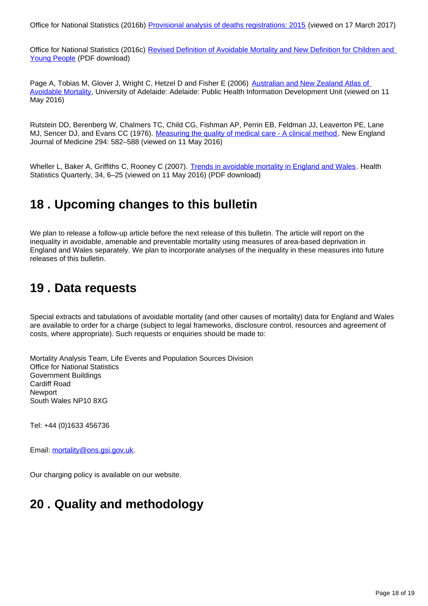Office for National Statistics (2016b) [Provisional analysis of deaths registrations: 2015](https://www.ons.gov.uk/peoplepopulationandcommunity/birthsdeathsandmarriages/deaths/articles/provisionalanalysisofdeathregistrations/2015) (viewed on 17 March 2017)

Office for National Statistics (2016c) [Revised Definition of Avoidable Mortality and New Definition for Children and](https://www.ons.gov.uk/file?uri=/aboutus/whatwedo/statistics/consultationsandsurveys/allconsultationsandsurveys/reviewofavoidablemortalitydefinition/reviseddefinitionofavoidablemortalityandnewdefinitionforchildrenandyoungpeople.doc)  [Young People](https://www.ons.gov.uk/file?uri=/aboutus/whatwedo/statistics/consultationsandsurveys/allconsultationsandsurveys/reviewofavoidablemortalitydefinition/reviseddefinitionofavoidablemortalityandnewdefinitionforchildrenandyoungpeople.doc) (PDF download)

Page A, Tobias M, Glover J, Wright C, Hetzel D and Fisher E (2006) Australian and New Zealand Atlas of [Avoidable Mortality](http://www.atlantesanitario.it/index.php?option=com_phocadownload&view=category&id=151:bibliografia&download=58:&start=20&Itemid=1), University of Adelaide: Adelaide: Public Health Information Development Unit (viewed on 11 May 2016)

Rutstein DD, Berenberg W, Chalmers TC, Child CG, Fishman AP, Perrin EB, Feldman JJ, Leaverton PE, Lane MJ, Sencer DJ, and Evans CC (1976). [Measuring the quality of medical care - A clinical method](http://www.nejm.org/doi/full/10.1056/nejm197603112941104). New England Journal of Medicine 294: 582–588 (viewed on 11 May 2016)

Wheller L, Baker A, Griffiths C, Rooney C (2007). [Trends in avoidable mortality in England and Wales.](http://webarchive.nationalarchives.gov.uk/20160105160709/http:/ons.gov.uk/ons/rel/hsq/health-statistics-quarterly/no--34--summer-2007/trends-in-avoidable-mortality-in-england-and-wales--1993-2005.pdf) Health Statistics Quarterly, 34, 6–25 (viewed on 11 May 2016) (PDF download)

# <span id="page-17-0"></span>**18 . Upcoming changes to this bulletin**

We plan to release a follow-up article before the next release of this bulletin. The article will report on the inequality in avoidable, amenable and preventable mortality using measures of area-based deprivation in England and Wales separately. We plan to incorporate analyses of the inequality in these measures into future releases of this bulletin.

# <span id="page-17-1"></span>**19 . Data requests**

Special extracts and tabulations of avoidable mortality (and other causes of mortality) data for England and Wales are available to order for a charge (subject to legal frameworks, disclosure control, resources and agreement of costs, where appropriate). Such requests or enquiries should be made to:

Mortality Analysis Team, Life Events and Population Sources Division Office for National Statistics Government Buildings Cardiff Road **Newport** South Wales NP10 8XG

Tel: +44 (0)1633 456736

Email: mortality@ons.gsi.gov.uk.

Our charging policy is available on our website.

### <span id="page-17-2"></span>**20 . Quality and methodology**